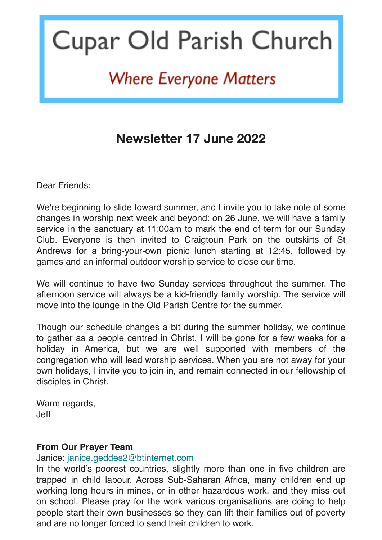# Cupar Old Parish Church

## **Where Everyone Matters**

### **Newsletter 17 June 2022**

Dear Friends:

We're beginning to slide toward summer, and I invite you to take note of some changes in worship next week and beyond: on 26 June, we will have a family service in the sanctuary at 11:00am to mark the end of term for our Sunday Club. Everyone is then invited to Craigtoun Park on the outskirts of St Andrews for a bring-your-own picnic lunch starting at 12:45, followed by games and an informal outdoor worship service to close our time.

We will continue to have two Sunday services throughout the summer. The afternoon service will always be a kid-friendly family worship. The service will move into the lounge in the Old Parish Centre for the summer.

Though our schedule changes a bit during the summer holiday, we continue to gather as a people centred in Christ. I will be gone for a few weeks for a holiday in America, but we are well supported with members of the congregation who will lead worship services. When you are not away for your own holidays, I invite you to join in, and remain connected in our fellowship of disciples in Christ.

Warm regards. Jeff

#### **From Our Prayer Team**

#### Janice: [janice.geddes2@btinternet.com](mailto:janice.geddes2@btinternet.com)

In the world's poorest countries, slightly more than one in five children are trapped in child labour. Across Sub-Saharan Africa, many children end up working long hours in mines, or in other hazardous work, and they miss out on school. Please pray for the work various organisations are doing to help people start their own businesses so they can lift their families out of poverty and are no longer forced to send their children to work.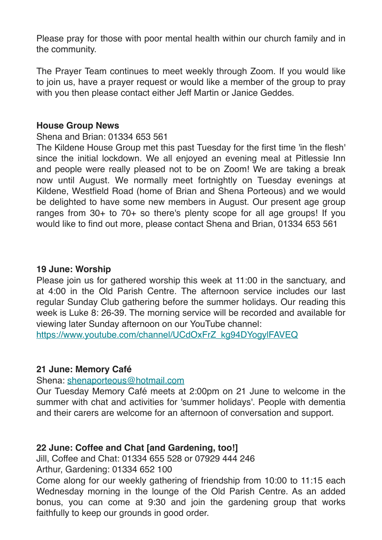Please pray for those with poor mental health within our church family and in the community.

The Prayer Team continues to meet weekly through Zoom. If you would like to join us, have a prayer request or would like a member of the group to pray with you then please contact either Jeff Martin or Janice Geddes.

#### **House Group News**

#### Shena and Brian: 01334 653 561

The Kildene House Group met this past Tuesday for the first time 'in the flesh' since the initial lockdown. We all enjoyed an evening meal at Pitlessie Inn and people were really pleased not to be on Zoom! We are taking a break now until August. We normally meet fortnightly on Tuesday evenings at Kildene, Westfield Road (home of Brian and Shena Porteous) and we would be delighted to have some new members in August. Our present age group ranges from 30+ to 70+ so there's plenty scope for all age groups! If you would like to find out more, please contact Shena and Brian, 01334 653 561

#### **19 June: Worship**

Please join us for gathered worship this week at 11:00 in the sanctuary, and at 4:00 in the Old Parish Centre. The afternoon service includes our last regular Sunday Club gathering before the summer holidays. Our reading this week is Luke 8: 26-39. The morning service will be recorded and available for viewing later Sunday afternoon on our YouTube channel:

[https://www.youtube.com/channel/UCdOxFrZ\\_kg94DYogylFAVEQ](https://cuparold.us17.list-manage.com/track/click?u=cb0d11bd686f9936f33547aab&id=45d11c7e2c&e=9c4275e320)

#### **21 June: Memory Café**

#### Shena: [shenaporteous@hotmail.com](mailto:shenaporteous@hotmail.com)

Our Tuesday Memory Café meets at 2:00pm on 21 June to welcome in the summer with chat and activities for 'summer holidays'. People with dementia and their carers are welcome for an afternoon of conversation and support.

#### **22 June: Coffee and Chat [and Gardening, too!]**

Jill, Coffee and Chat: 01334 655 528 or 07929 444 246

Arthur, Gardening: 01334 652 100

Come along for our weekly gathering of friendship from 10:00 to 11:15 each Wednesday morning in the lounge of the Old Parish Centre. As an added bonus, you can come at 9:30 and join the gardening group that works faithfully to keep our grounds in good order.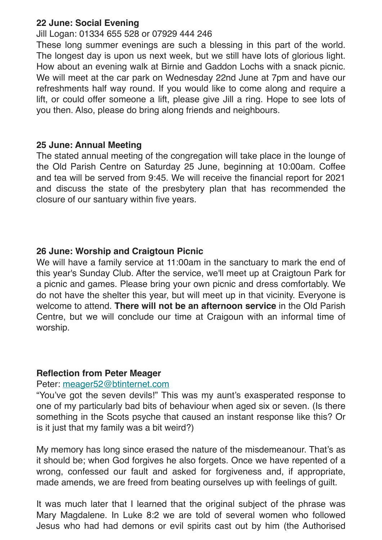#### **22 June: Social Evening**

#### Jill Logan: 01334 655 528 or 07929 444 246

These long summer evenings are such a blessing in this part of the world. The longest day is upon us next week, but we still have lots of glorious light. How about an evening walk at Birnie and Gaddon Lochs with a snack picnic. We will meet at the car park on Wednesday 22nd June at 7pm and have our refreshments half way round. If you would like to come along and require a lift, or could offer someone a lift, please give Jill a ring. Hope to see lots of you then. Also, please do bring along friends and neighbours.

#### **25 June: Annual Meeting**

The stated annual meeting of the congregation will take place in the lounge of the Old Parish Centre on Saturday 25 June, beginning at 10:00am. Coffee and tea will be served from 9:45. We will receive the financial report for 2021 and discuss the state of the presbytery plan that has recommended the closure of our santuary within five years.

#### **26 June: Worship and Craigtoun Picnic**

We will have a family service at 11:00am in the sanctuary to mark the end of this year's Sunday Club. After the service, we'll meet up at Craigtoun Park for a picnic and games. Please bring your own picnic and dress comfortably. We do not have the shelter this year, but will meet up in that vicinity. Everyone is welcome to attend. **There will not be an afternoon service** in the Old Parish Centre, but we will conclude our time at Craigoun with an informal time of worship.

#### **Reflection from Peter Meager**

#### Peter: [meager52@btinternet.com](mailto:meager52@btinternet.com)

"You've got the seven devils!" This was my aunt's exasperated response to one of my particularly bad bits of behaviour when aged six or seven. (Is there something in the Scots psyche that caused an instant response like this? Or is it just that my family was a bit weird?)

My memory has long since erased the nature of the misdemeanour. That's as it should be; when God forgives he also forgets. Once we have repented of a wrong, confessed our fault and asked for forgiveness and, if appropriate, made amends, we are freed from beating ourselves up with feelings of guilt.

It was much later that I learned that the original subject of the phrase was Mary Magdalene. In Luke 8:2 we are told of several women who followed Jesus who had had demons or evil spirits cast out by him (the Authorised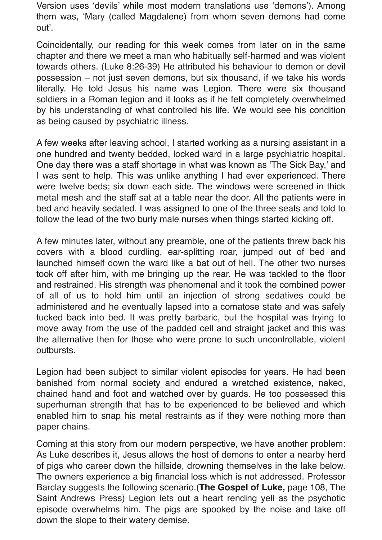Version uses 'devils' while most modern translations use 'demons'). Among them was, 'Mary (called Magdalene) from whom seven demons had come out'.

Coincidentally, our reading for this week comes from later on in the same chapter and there we meet a man who habitually self-harmed and was violent towards others. (Luke 8:26-39) He attributed his behaviour to demon or devil possession – not just seven demons, but six thousand, if we take his words literally. He told Jesus his name was Legion. There were six thousand soldiers in a Roman legion and it looks as if he felt completely overwhelmed by his understanding of what controlled his life. We would see his condition as being caused by psychiatric illness.

A few weeks after leaving school, I started working as a nursing assistant in a one hundred and twenty bedded, locked ward in a large psychiatric hospital. One day there was a staff shortage in what was known as 'The Sick Bay,' and I was sent to help. This was unlike anything I had ever experienced. There were twelve beds; six down each side. The windows were screened in thick metal mesh and the staff sat at a table near the door. All the patients were in bed and heavily sedated. I was assigned to one of the three seats and told to follow the lead of the two burly male nurses when things started kicking off.

A few minutes later, without any preamble, one of the patients threw back his covers with a blood curdling, ear-splitting roar, jumped out of bed and launched himself down the ward like a bat out of hell. The other two nurses took off after him, with me bringing up the rear. He was tackled to the floor and restrained. His strength was phenomenal and it took the combined power of all of us to hold him until an injection of strong sedatives could be administered and he eventually lapsed into a comatose state and was safely tucked back into bed. It was pretty barbaric, but the hospital was trying to move away from the use of the padded cell and straight jacket and this was the alternative then for those who were prone to such uncontrollable, violent outbursts.

Legion had been subject to similar violent episodes for years. He had been banished from normal society and endured a wretched existence, naked, chained hand and foot and watched over by guards. He too possessed this superhuman strength that has to be experienced to be believed and which enabled him to snap his metal restraints as if they were nothing more than paper chains.

Coming at this story from our modern perspective, we have another problem: As Luke describes it, Jesus allows the host of demons to enter a nearby herd of pigs who career down the hillside, drowning themselves in the lake below. The owners experience a big financial loss which is not addressed. Professor Barclay suggests the following scenario.(**The Gospel of Luke,** page 108, The Saint Andrews Press) Legion lets out a heart rending yell as the psychotic episode overwhelms him. The pigs are spooked by the noise and take off down the slope to their watery demise.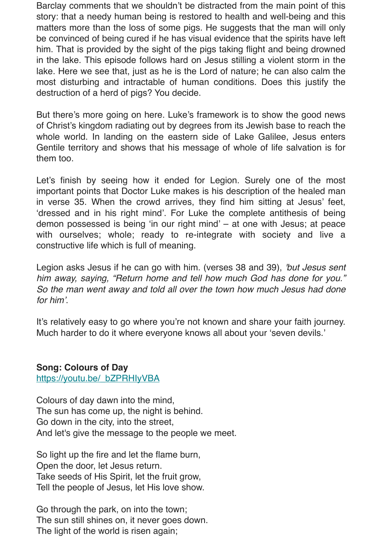Barclay comments that we shouldn't be distracted from the main point of this story: that a needy human being is restored to health and well-being and this matters more than the loss of some pigs. He suggests that the man will only be convinced of being cured if he has visual evidence that the spirits have left him. That is provided by the sight of the pigs taking flight and being drowned in the lake. This episode follows hard on Jesus stilling a violent storm in the lake. Here we see that, just as he is the Lord of nature; he can also calm the most disturbing and intractable of human conditions. Does this justify the destruction of a herd of pigs? You decide.

But there's more going on here. Luke's framework is to show the good news of Christ's kingdom radiating out by degrees from its Jewish base to reach the whole world. In landing on the eastern side of Lake Galilee, Jesus enters Gentile territory and shows that his message of whole of life salvation is for them too.

Let's finish by seeing how it ended for Legion. Surely one of the most important points that Doctor Luke makes is his description of the healed man in verse 35. When the crowd arrives, they find him sitting at Jesus' feet, 'dressed and in his right mind'. For Luke the complete antithesis of being demon possessed is being 'in our right mind' – at one with Jesus; at peace with ourselves; whole; ready to re-integrate with society and live a constructive life which is full of meaning.

Legion asks Jesus if he can go with him. (verses 38 and 39), *'but Jesus sent him away, saying, "Return home and tell how much God has done for you." So the man went away and told all over the town how much Jesus had done for him'*.

It's relatively easy to go where you're not known and share your faith journey. Much harder to do it where everyone knows all about your 'seven devils.'

#### **Song: Colours of Day** [https://youtu.be/\\_bZPRHIyVBA](https://cuparold.us17.list-manage.com/track/click?u=cb0d11bd686f9936f33547aab&id=20f801e6ad&e=9c4275e320)

Colours of day dawn into the mind, The sun has come up, the night is behind. Go down in the city, into the street, And let's give the message to the people we meet.

So light up the fire and let the flame burn, Open the door, let Jesus return. Take seeds of His Spirit, let the fruit grow, Tell the people of Jesus, let His love show.

Go through the park, on into the town; The sun still shines on, it never goes down. The light of the world is risen again;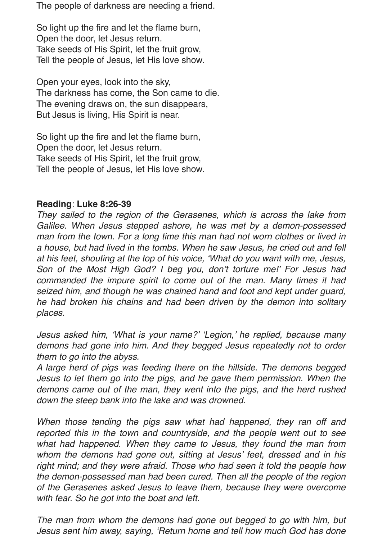The people of darkness are needing a friend.

So light up the fire and let the flame burn, Open the door, let Jesus return. Take seeds of His Spirit, let the fruit grow, Tell the people of Jesus, let His love show.

Open your eyes, look into the sky, The darkness has come, the Son came to die. The evening draws on, the sun disappears, But Jesus is living, His Spirit is near.

So light up the fire and let the flame burn, Open the door, let Jesus return. Take seeds of His Spirit, let the fruit grow, Tell the people of Jesus, let His love show.

#### **Reading**: **Luke 8:26-39**

*They sailed to the region of the Gerasenes, which is across the lake from Galilee. When Jesus stepped ashore, he was met by a demon-possessed man from the town. For a long time this man had not worn clothes or lived in a house, but had lived in the tombs. When he saw Jesus, he cried out and fell at his feet, shouting at the top of his voice, 'What do you want with me, Jesus, Son of the Most High God? I beg you, don't torture me!' For Jesus had commanded the impure spirit to come out of the man. Many times it had seized him, and though he was chained hand and foot and kept under guard, he had broken his chains and had been driven by the demon into solitary places.*

*Jesus asked him, 'What is your name?' 'Legion,' he replied, because many demons had gone into him. And they begged Jesus repeatedly not to order them to go into the abyss.*

*A large herd of pigs was feeding there on the hillside. The demons begged Jesus to let them go into the pigs, and he gave them permission. When the demons came out of the man, they went into the pigs, and the herd rushed down the steep bank into the lake and was drowned.*

*When those tending the pigs saw what had happened, they ran off and reported this in the town and countryside, and the people went out to see what had happened. When they came to Jesus, they found the man from whom the demons had gone out, sitting at Jesus' feet, dressed and in his right mind; and they were afraid. Those who had seen it told the people how the demon-possessed man had been cured. Then all the people of the region of the Gerasenes asked Jesus to leave them, because they were overcome with fear. So he got into the boat and left.*

*The man from whom the demons had gone out begged to go with him, but Jesus sent him away, saying, 'Return home and tell how much God has done*